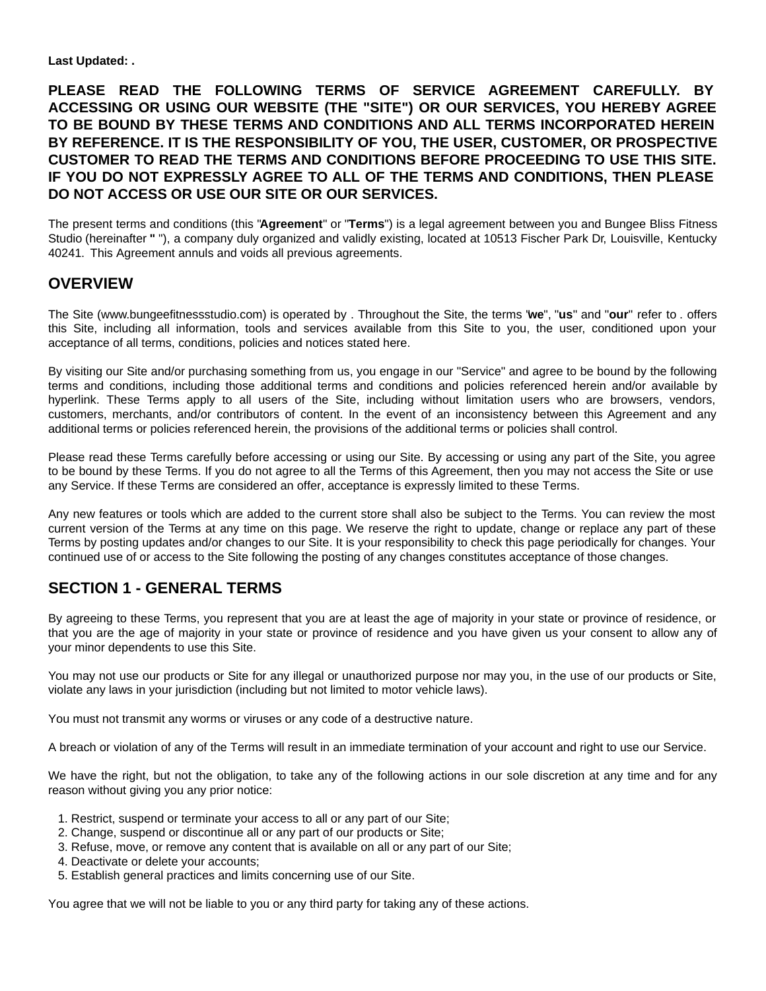**Last Updated: .**

**PLEASE READ THE FOLLOWING TERMS OF SERVICE AGREEMENT CAREFULLY. BY ACCESSING OR USING OUR WEBSITE (THE "SITE") OR OUR SERVICES, YOU HEREBY AGREE TO BE BOUND BY THESE TERMS AND CONDITIONS AND ALL TERMS INCORPORATED HEREIN BY REFERENCE. IT IS THE RESPONSIBILITY OF YOU, THE USER, CUSTOMER, OR PROSPECTIVE CUSTOMER TO READ THE TERMS AND CONDITIONS BEFORE PROCEEDING TO USE THIS SITE. IF YOU DO NOT EXPRESSLY AGREE TO ALL OF THE TERMS AND CONDITIONS, THEN PLEASE DO NOT ACCESS OR USE OUR SITE OR OUR SERVICES.**

The present terms and conditions (this "**Agreement**" or "**Terms**") is a legal agreement between you and Bungee Bliss Fitness Studio (hereinafter **"** "), a company duly organized and validly existing, located at 10513 Fischer Park Dr, Louisville, Kentucky 40241. This Agreement annuls and voids all previous agreements.

### **OVERVIEW**

The Site (www.bungeefitnessstudio.com) is operated by . Throughout the Site, the terms "**we**", "**us**" and "**our**" refer to . offers this Site, including all information, tools and services available from this Site to you, the user, conditioned upon your acceptance of all terms, conditions, policies and notices stated here.

By visiting our Site and/or purchasing something from us, you engage in our "Service" and agree to be bound by the following terms and conditions, including those additional terms and conditions and policies referenced herein and/or available by hyperlink. These Terms apply to all users of the Site, including without limitation users who are browsers, vendors, customers, merchants, and/or contributors of content. In the event of an inconsistency between this Agreement and any additional terms or policies referenced herein, the provisions of the additional terms or policies shall control.

Please read these Terms carefully before accessing or using our Site. By accessing or using any part of the Site, you agree to be bound by these Terms. If you do not agree to all the Terms of this Agreement, then you may not access the Site or use any Service. If these Terms are considered an offer, acceptance is expressly limited to these Terms.

Any new features or tools which are added to the current store shall also be subject to the Terms. You can review the most current version of the Terms at any time on this page. We reserve the right to update, change or replace any part of these Terms by posting updates and/or changes to our Site. It is your responsibility to check this page periodically for changes. Your continued use of or access to the Site following the posting of any changes constitutes acceptance of those changes.

# **SECTION 1 - GENERAL TERMS**

By agreeing to these Terms, you represent that you are at least the age of majority in your state or province of residence, or that you are the age of majority in your state or province of residence and you have given us your consent to allow any of your minor dependents to use this Site.

You may not use our products or Site for any illegal or unauthorized purpose nor may you, in the use of our products or Site, violate any laws in your jurisdiction (including but not limited to motor vehicle laws).

You must not transmit any worms or viruses or any code of a destructive nature.

A breach or violation of any of the Terms will result in an immediate termination of your account and right to use our Service.

We have the right, but not the obligation, to take any of the following actions in our sole discretion at any time and for any reason without giving you any prior notice:

- 1. Restrict, suspend or terminate your access to all or any part of our Site;
- 2. Change, suspend or discontinue all or any part of our products or Site;
- 3. Refuse, move, or remove any content that is available on all or any part of our Site;
- 4. Deactivate or delete your accounts;
- 5. Establish general practices and limits concerning use of our Site.

You agree that we will not be liable to you or any third party for taking any of these actions.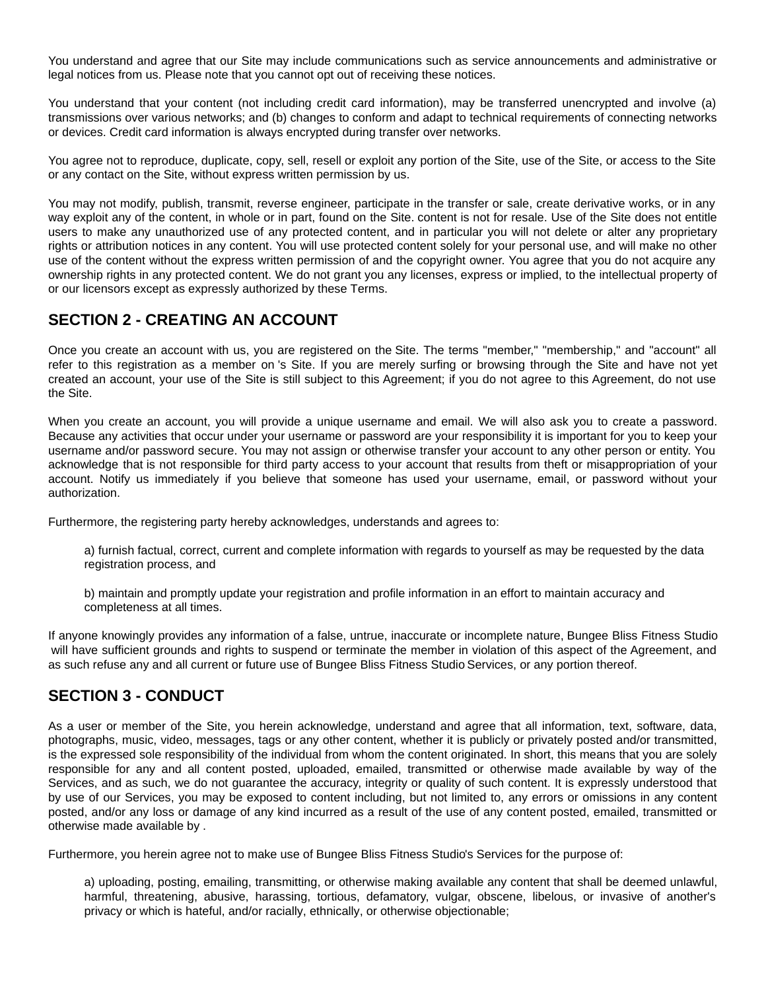You understand and agree that our Site may include communications such as service announcements and administrative or legal notices from us. Please note that you cannot opt out of receiving these notices.

You understand that your content (not including credit card information), may be transferred unencrypted and involve (a) transmissions over various networks; and (b) changes to conform and adapt to technical requirements of connecting networks or devices. Credit card information is always encrypted during transfer over networks.

You agree not to reproduce, duplicate, copy, sell, resell or exploit any portion of the Site, use of the Site, or access to the Site or any contact on the Site, without express written permission by us.

You may not modify, publish, transmit, reverse engineer, participate in the transfer or sale, create derivative works, or in any way exploit any of the content, in whole or in part, found on the Site. content is not for resale. Use of the Site does not entitle users to make any unauthorized use of any protected content, and in particular you will not delete or alter any proprietary rights or attribution notices in any content. You will use protected content solely for your personal use, and will make no other use of the content without the express written permission of and the copyright owner. You agree that you do not acquire any ownership rights in any protected content. We do not grant you any licenses, express or implied, to the intellectual property of or our licensors except as expressly authorized by these Terms.

# **SECTION 2 - CREATING AN ACCOUNT**

Once you create an account with us, you are registered on the Site. The terms "member," "membership," and "account" all refer to this registration as a member on 's Site. If you are merely surfing or browsing through the Site and have not yet created an account, your use of the Site is still subject to this Agreement; if you do not agree to this Agreement, do not use the Site.

When you create an account, you will provide a unique username and email. We will also ask you to create a password. Because any activities that occur under your username or password are your responsibility it is important for you to keep your username and/or password secure. You may not assign or otherwise transfer your account to any other person or entity. You acknowledge that is not responsible for third party access to your account that results from theft or misappropriation of your account. Notify us immediately if you believe that someone has used your username, email, or password without your authorization.

Furthermore, the registering party hereby acknowledges, understands and agrees to:

a) furnish factual, correct, current and complete information with regards to yourself as may be requested by the data registration process, and

b) maintain and promptly update your registration and profile information in an effort to maintain accuracy and completeness at all times.

If anyone knowingly provides any information of a false, untrue, inaccurate or incomplete nature, Bungee Bliss Fitness Studio will have sufficient grounds and rights to suspend or terminate the member in violation of this aspect of the Agreement, and as such refuse any and all current or future use of Bungee Bliss Fitness Studio Services, or any portion thereof.

# **SECTION 3 - CONDUCT**

As a user or member of the Site, you herein acknowledge, understand and agree that all information, text, software, data, photographs, music, video, messages, tags or any other content, whether it is publicly or privately posted and/or transmitted, is the expressed sole responsibility of the individual from whom the content originated. In short, this means that you are solely responsible for any and all content posted, uploaded, emailed, transmitted or otherwise made available by way of the Services, and as such, we do not guarantee the accuracy, integrity or quality of such content. It is expressly understood that by use of our Services, you may be exposed to content including, but not limited to, any errors or omissions in any content posted, and/or any loss or damage of any kind incurred as a result of the use of any content posted, emailed, transmitted or otherwise made available by .

Furthermore, you herein agree not to make use of Bungee Bliss Fitness Studio's Services for the purpose of:

a) uploading, posting, emailing, transmitting, or otherwise making available any content that shall be deemed unlawful, harmful, threatening, abusive, harassing, tortious, defamatory, vulgar, obscene, libelous, or invasive of another's privacy or which is hateful, and/or racially, ethnically, or otherwise objectionable;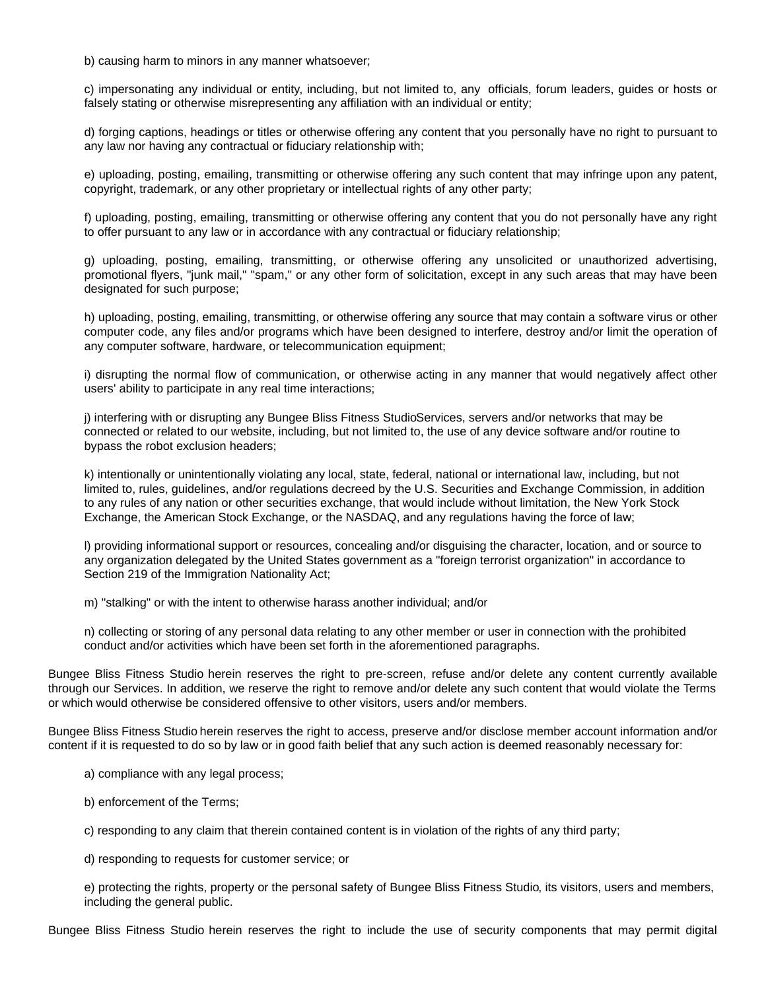b) causing harm to minors in any manner whatsoever;

c) impersonating any individual or entity, including, but not limited to, any officials, forum leaders, guides or hosts or falsely stating or otherwise misrepresenting any affiliation with an individual or entity;

d) forging captions, headings or titles or otherwise offering any content that you personally have no right to pursuant to any law nor having any contractual or fiduciary relationship with;

e) uploading, posting, emailing, transmitting or otherwise offering any such content that may infringe upon any patent, copyright, trademark, or any other proprietary or intellectual rights of any other party;

f) uploading, posting, emailing, transmitting or otherwise offering any content that you do not personally have any right to offer pursuant to any law or in accordance with any contractual or fiduciary relationship;

g) uploading, posting, emailing, transmitting, or otherwise offering any unsolicited or unauthorized advertising, promotional flyers, "junk mail," "spam," or any other form of solicitation, except in any such areas that may have been designated for such purpose;

h) uploading, posting, emailing, transmitting, or otherwise offering any source that may contain a software virus or other computer code, any files and/or programs which have been designed to interfere, destroy and/or limit the operation of any computer software, hardware, or telecommunication equipment;

i) disrupting the normal flow of communication, or otherwise acting in any manner that would negatively affect other users' ability to participate in any real time interactions;

j) interfering with or disrupting any Bungee Bliss Fitness StudioServices, servers and/or networks that may be connected or related to our website, including, but not limited to, the use of any device software and/or routine to bypass the robot exclusion headers;

k) intentionally or unintentionally violating any local, state, federal, national or international law, including, but not limited to, rules, guidelines, and/or regulations decreed by the U.S. Securities and Exchange Commission, in addition to any rules of any nation or other securities exchange, that would include without limitation, the New York Stock Exchange, the American Stock Exchange, or the NASDAQ, and any regulations having the force of law;

l) providing informational support or resources, concealing and/or disguising the character, location, and or source to any organization delegated by the United States government as a "foreign terrorist organization" in accordance to Section 219 of the Immigration Nationality Act;

m) "stalking" or with the intent to otherwise harass another individual; and/or

n) collecting or storing of any personal data relating to any other member or user in connection with the prohibited conduct and/or activities which have been set forth in the aforementioned paragraphs.

Bungee Bliss Fitness Studio herein reserves the right to pre-screen, refuse and/or delete any content currently available through our Services. In addition, we reserve the right to remove and/or delete any such content that would violate the Terms or which would otherwise be considered offensive to other visitors, users and/or members.

Bungee Bliss Fitness Studio herein reserves the right to access, preserve and/or disclose member account information and/or content if it is requested to do so by law or in good faith belief that any such action is deemed reasonably necessary for:

- a) compliance with any legal process;
- b) enforcement of the Terms;

c) responding to any claim that therein contained content is in violation of the rights of any third party;

d) responding to requests for customer service; or

e) protecting the rights, property or the personal safety of Bungee Bliss Fitness Studio, its visitors, users and members, including the general public.

Bungee Bliss Fitness Studio herein reserves the right to include the use of security components that may permit digital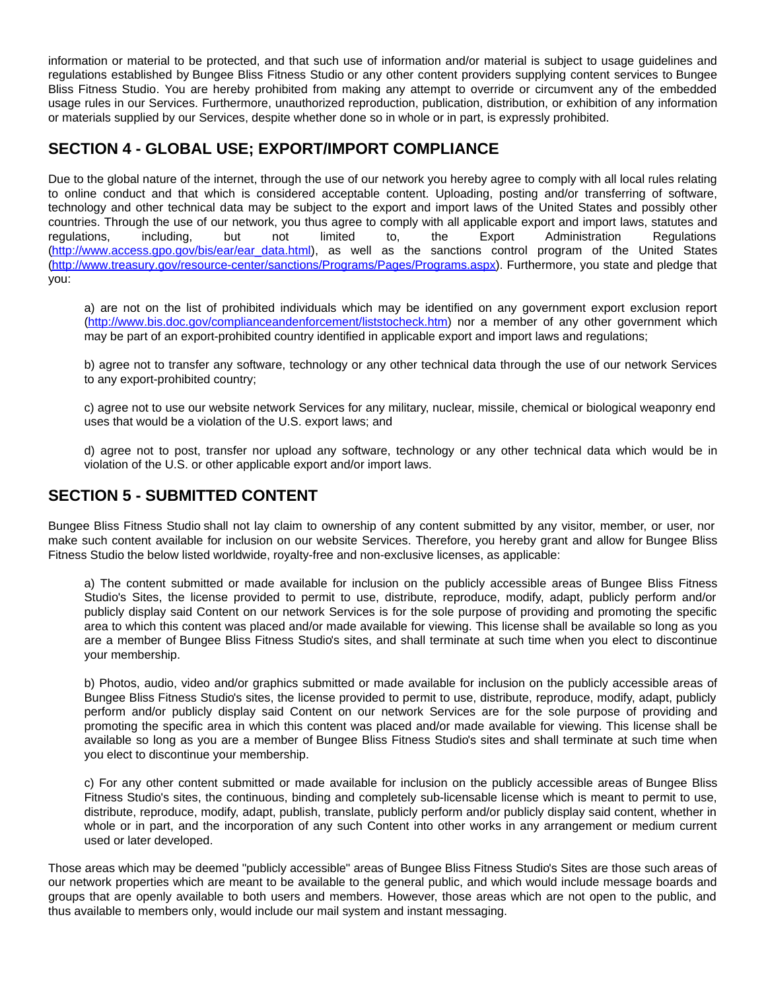information or material to be protected, and that such use of information and/or material is subject to usage guidelines and regulations established by Bungee Bliss Fitness Studio or any other content providers supplying content services to Bungee Bliss Fitness Studio. You are hereby prohibited from making any attempt to override or circumvent any of the embedded usage rules in our Services. Furthermore, unauthorized reproduction, publication, distribution, or exhibition of any information or materials supplied by our Services, despite whether done so in whole or in part, is expressly prohibited.

# **SECTION 4 - GLOBAL USE; EXPORT/IMPORT COMPLIANCE**

Due to the global nature of the internet, through the use of our network you hereby agree to comply with all local rules relating to online conduct and that which is considered acceptable content. Uploading, posting and/or transferring of software, technology and other technical data may be subject to the export and import laws of the United States and possibly other countries. Through the use of our network, you thus agree to comply with all applicable export and import laws, statutes and regulations, including, but not limited to, the Export Administration Regulations [\(http://www.access.gpo.gov/bis/ear/ear\\_data.html](http://www.access.gpo.gov/bis/ear/ear_data.html)), as well as the sanctions control program of the United States [\(http://www.treasury.gov/resource-center/sanctions/Programs/Pages/Programs.aspx](http://www.treasury.gov/resource-center/sanctions/Programs/Pages/Programs.aspx)). Furthermore, you state and pledge that you:

a) are not on the list of prohibited individuals which may be identified on any government export exclusion report [\(http://www.bis.doc.gov/complianceandenforcement/liststocheck.htm](http://www.bis.doc.gov/complianceandenforcement/liststocheck.htm)) nor a member of any other government which may be part of an export-prohibited country identified in applicable export and import laws and regulations;

b) agree not to transfer any software, technology or any other technical data through the use of our network Services to any export-prohibited country;

c) agree not to use our website network Services for any military, nuclear, missile, chemical or biological weaponry end uses that would be a violation of the U.S. export laws; and

d) agree not to post, transfer nor upload any software, technology or any other technical data which would be in violation of the U.S. or other applicable export and/or import laws.

# **SECTION 5 - SUBMITTED CONTENT**

Bungee Bliss Fitness Studio shall not lay claim to ownership of any content submitted by any visitor, member, or user, nor make such content available for inclusion on our website Services. Therefore, you hereby grant and allow for Bungee Bliss Fitness Studio the below listed worldwide, royalty-free and non-exclusive licenses, as applicable:

a) The content submitted or made available for inclusion on the publicly accessible areas of Bungee Bliss Fitness Studio's Sites, the license provided to permit to use, distribute, reproduce, modify, adapt, publicly perform and/or publicly display said Content on our network Services is for the sole purpose of providing and promoting the specific area to which this content was placed and/or made available for viewing. This license shall be available so long as you are a member of Bungee Bliss Fitness Studio's sites, and shall terminate at such time when you elect to discontinue your membership.

b) Photos, audio, video and/or graphics submitted or made available for inclusion on the publicly accessible areas of Bungee Bliss Fitness Studio's sites, the license provided to permit to use, distribute, reproduce, modify, adapt, publicly perform and/or publicly display said Content on our network Services are for the sole purpose of providing and promoting the specific area in which this content was placed and/or made available for viewing. This license shall be available so long as you are a member of Bungee Bliss Fitness Studio's sites and shall terminate at such time when you elect to discontinue your membership.

c) For any other content submitted or made available for inclusion on the publicly accessible areas of Bungee Bliss Fitness Studio's sites, the continuous, binding and completely sub-licensable license which is meant to permit to use, distribute, reproduce, modify, adapt, publish, translate, publicly perform and/or publicly display said content, whether in whole or in part, and the incorporation of any such Content into other works in any arrangement or medium current used or later developed.

Those areas which may be deemed "publicly accessible" areas of Bungee Bliss Fitness Studio's Sites are those such areas of our network properties which are meant to be available to the general public, and which would include message boards and groups that are openly available to both users and members. However, those areas which are not open to the public, and thus available to members only, would include our mail system and instant messaging.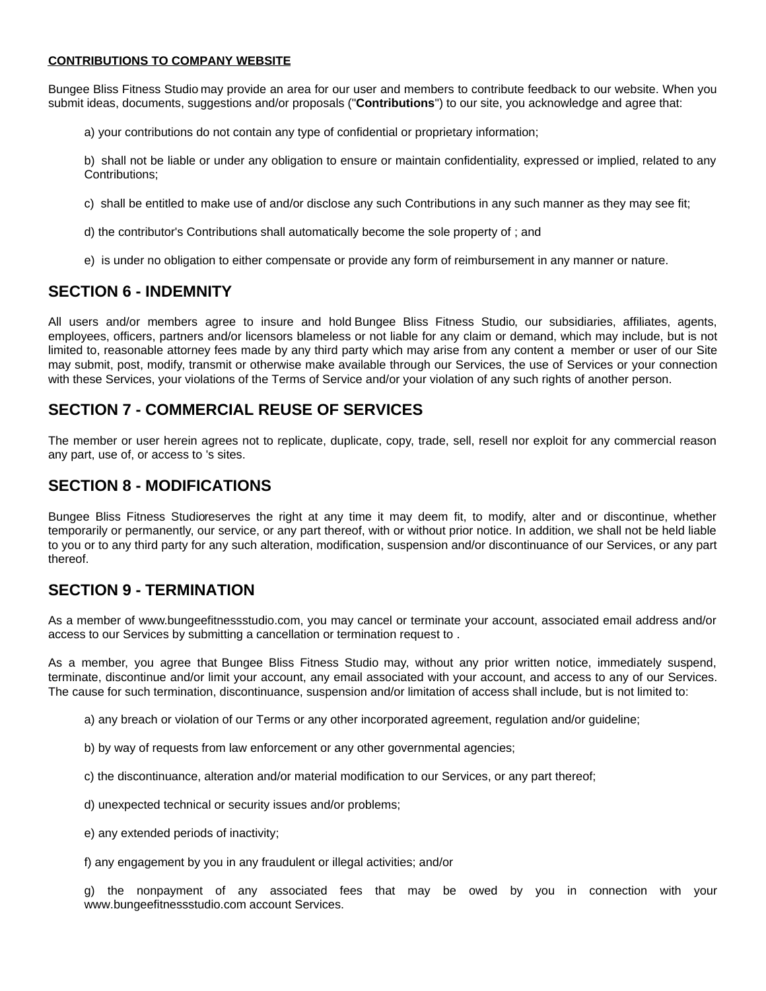#### **CONTRIBUTIONS TO COMPANY WEBSITE**

Bungee Bliss Fitness Studio may provide an area for our user and members to contribute feedback to our website. When you submit ideas, documents, suggestions and/or proposals ("**Contributions**") to our site, you acknowledge and agree that:

a) your contributions do not contain any type of confidential or proprietary information;

b) shall not be liable or under any obligation to ensure or maintain confidentiality, expressed or implied, related to any Contributions;

c) shall be entitled to make use of and/or disclose any such Contributions in any such manner as they may see fit;

- d) the contributor's Contributions shall automatically become the sole property of ; and
- e) is under no obligation to either compensate or provide any form of reimbursement in any manner or nature.

#### **SECTION 6 - INDEMNITY**

All users and/or members agree to insure and hold Bungee Bliss Fitness Studio, our subsidiaries, affiliates, agents, employees, officers, partners and/or licensors blameless or not liable for any claim or demand, which may include, but is not limited to, reasonable attorney fees made by any third party which may arise from any content a member or user of our Site may submit, post, modify, transmit or otherwise make available through our Services, the use of Services or your connection with these Services, your violations of the Terms of Service and/or your violation of any such rights of another person.

### **SECTION 7 - COMMERCIAL REUSE OF SERVICES**

The member or user herein agrees not to replicate, duplicate, copy, trade, sell, resell nor exploit for any commercial reason any part, use of, or access to 's sites.

#### **SECTION 8 - MODIFICATIONS**

Bungee Bliss Fitness Studioreserves the right at any time it may deem fit, to modify, alter and or discontinue, whether temporarily or permanently, our service, or any part thereof, with or without prior notice. In addition, we shall not be held liable to you or to any third party for any such alteration, modification, suspension and/or discontinuance of our Services, or any part thereof.

#### **SECTION 9 - TERMINATION**

As a member of www.bungeefitnessstudio.com, you may cancel or terminate your account, associated email address and/or access to our Services by submitting a cancellation or termination request to .

As a member, you agree that Bungee Bliss Fitness Studio may, without any prior written notice, immediately suspend, terminate, discontinue and/or limit your account, any email associated with your account, and access to any of our Services. The cause for such termination, discontinuance, suspension and/or limitation of access shall include, but is not limited to:

- a) any breach or violation of our Terms or any other incorporated agreement, regulation and/or guideline;
- b) by way of requests from law enforcement or any other governmental agencies;
- c) the discontinuance, alteration and/or material modification to our Services, or any part thereof;
- d) unexpected technical or security issues and/or problems;
- e) any extended periods of inactivity;
- f) any engagement by you in any fraudulent or illegal activities; and/or

g) the nonpayment of any associated fees that may be owed by you in connection with your www.bungeefitnessstudio.com account Services.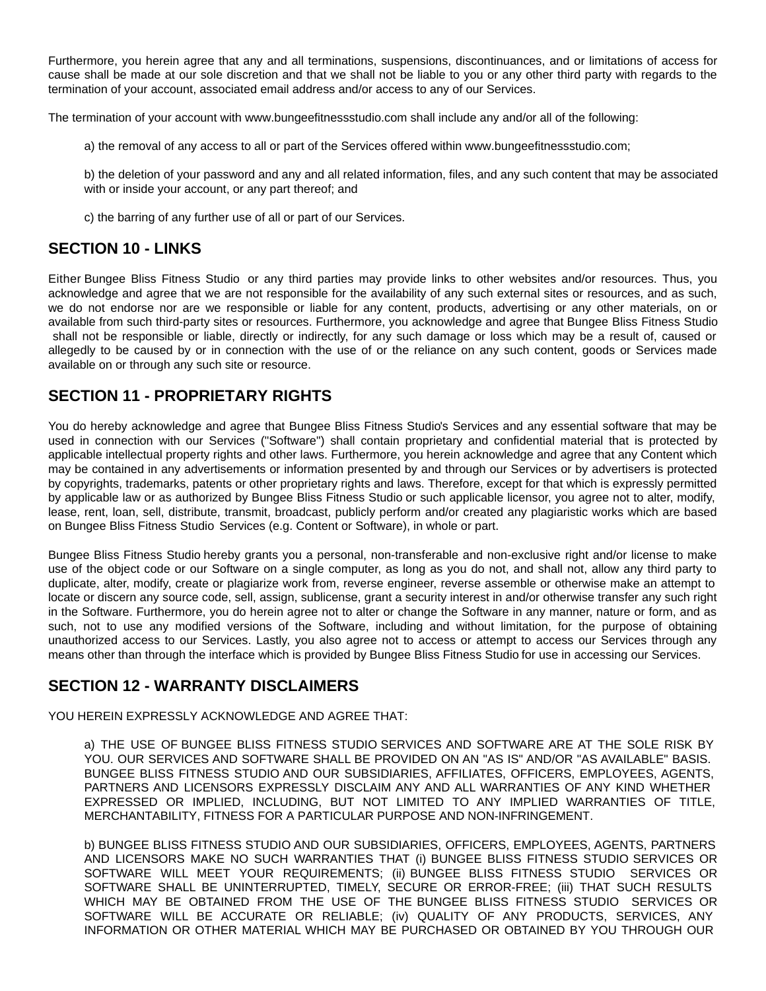Furthermore, you herein agree that any and all terminations, suspensions, discontinuances, and or limitations of access for cause shall be made at our sole discretion and that we shall not be liable to you or any other third party with regards to the termination of your account, associated email address and/or access to any of our Services.

The termination of your account with www.bungeefitnessstudio.com shall include any and/or all of the following:

a) the removal of any access to all or part of the Services offered within www.bungeefitnessstudio.com;

b) the deletion of your password and any and all related information, files, and any such content that may be associated with or inside your account, or any part thereof; and

c) the barring of any further use of all or part of our Services.

### **SECTION 10 - LINKS**

Either Bungee Bliss Fitness Studio or any third parties may provide links to other websites and/or resources. Thus, you acknowledge and agree that we are not responsible for the availability of any such external sites or resources, and as such, we do not endorse nor are we responsible or liable for any content, products, advertising or any other materials, on or available from such third-party sites or resources. Furthermore, you acknowledge and agree that Bungee Bliss Fitness Studio shall not be responsible or liable, directly or indirectly, for any such damage or loss which may be a result of, caused or allegedly to be caused by or in connection with the use of or the reliance on any such content, goods or Services made available on or through any such site or resource.

# **SECTION 11 - PROPRIETARY RIGHTS**

You do hereby acknowledge and agree that Bungee Bliss Fitness Studio's Services and any essential software that may be used in connection with our Services ("Software") shall contain proprietary and confidential material that is protected by applicable intellectual property rights and other laws. Furthermore, you herein acknowledge and agree that any Content which may be contained in any advertisements or information presented by and through our Services or by advertisers is protected by copyrights, trademarks, patents or other proprietary rights and laws. Therefore, except for that which is expressly permitted by applicable law or as authorized by Bungee Bliss Fitness Studio or such applicable licensor, you agree not to alter, modify, lease, rent, loan, sell, distribute, transmit, broadcast, publicly perform and/or created any plagiaristic works which are based on Bungee Bliss Fitness Studio Services (e.g. Content or Software), in whole or part.

Bungee Bliss Fitness Studio hereby grants you a personal, non-transferable and non-exclusive right and/or license to make use of the object code or our Software on a single computer, as long as you do not, and shall not, allow any third party to duplicate, alter, modify, create or plagiarize work from, reverse engineer, reverse assemble or otherwise make an attempt to locate or discern any source code, sell, assign, sublicense, grant a security interest in and/or otherwise transfer any such right in the Software. Furthermore, you do herein agree not to alter or change the Software in any manner, nature or form, and as such, not to use any modified versions of the Software, including and without limitation, for the purpose of obtaining unauthorized access to our Services. Lastly, you also agree not to access or attempt to access our Services through any means other than through the interface which is provided by Bungee Bliss Fitness Studio for use in accessing our Services.

# **SECTION 12 - WARRANTY DISCLAIMERS**

YOU HEREIN EXPRESSLY ACKNOWLEDGE AND AGREE THAT:

a) THE USE OF BUNGEE BLISS FITNESS STUDIO SERVICES AND SOFTWARE ARE AT THE SOLE RISK BY YOU. OUR SERVICES AND SOFTWARE SHALL BE PROVIDED ON AN "AS IS" AND/OR "AS AVAILABLE" BASIS. BUNGEE BLISS FITNESS STUDIO AND OUR SUBSIDIARIES, AFFILIATES, OFFICERS, EMPLOYEES, AGENTS, PARTNERS AND LICENSORS EXPRESSLY DISCLAIM ANY AND ALL WARRANTIES OF ANY KIND WHETHER EXPRESSED OR IMPLIED, INCLUDING, BUT NOT LIMITED TO ANY IMPLIED WARRANTIES OF TITLE, MERCHANTABILITY, FITNESS FOR A PARTICULAR PURPOSE AND NON-INFRINGEMENT.

b) BUNGEE BLISS FITNESS STUDIO AND OUR SUBSIDIARIES, OFFICERS, EMPLOYEES, AGENTS, PARTNERS AND LICENSORS MAKE NO SUCH WARRANTIES THAT (i) BUNGEE BLISS FITNESS STUDIO SERVICES OR SOFTWARE WILL MEET YOUR REQUIREMENTS; (ii) BUNGEE BLISS FITNESS STUDIO SERVICES OR SOFTWARE SHALL BE UNINTERRUPTED, TIMELY, SECURE OR ERROR-FREE; (iii) THAT SUCH RESULTS WHICH MAY BE OBTAINED FROM THE USE OF THE BUNGEE BLISS FITNESS STUDIO SERVICES OR SOFTWARE WILL BE ACCURATE OR RELIABLE; (iv) QUALITY OF ANY PRODUCTS, SERVICES, ANY INFORMATION OR OTHER MATERIAL WHICH MAY BE PURCHASED OR OBTAINED BY YOU THROUGH OUR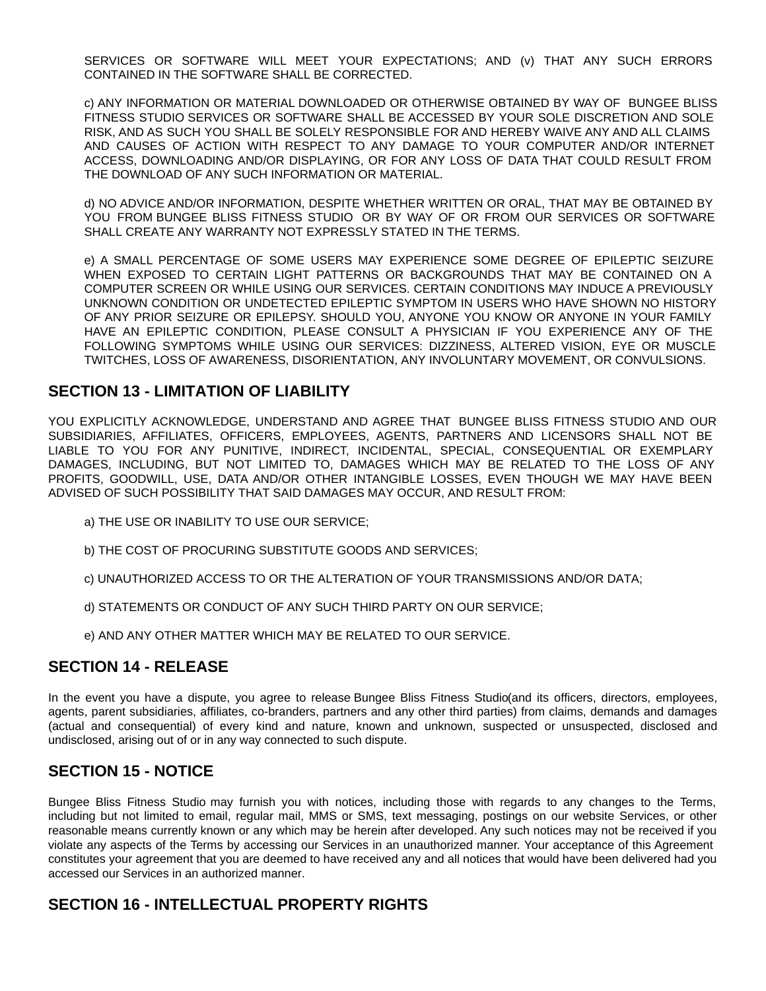SERVICES OR SOFTWARE WILL MEET YOUR EXPECTATIONS; AND (v) THAT ANY SUCH ERRORS CONTAINED IN THE SOFTWARE SHALL BE CORRECTED.

c) ANY INFORMATION OR MATERIAL DOWNLOADED OR OTHERWISE OBTAINED BY WAY OF BUNGEE BLISS FITNESS STUDIO SERVICES OR SOFTWARE SHALL BE ACCESSED BY YOUR SOLE DISCRETION AND SOLE RISK, AND AS SUCH YOU SHALL BE SOLELY RESPONSIBLE FOR AND HEREBY WAIVE ANY AND ALL CLAIMS AND CAUSES OF ACTION WITH RESPECT TO ANY DAMAGE TO YOUR COMPUTER AND/OR INTERNET ACCESS, DOWNLOADING AND/OR DISPLAYING, OR FOR ANY LOSS OF DATA THAT COULD RESULT FROM THE DOWNLOAD OF ANY SUCH INFORMATION OR MATERIAL.

d) NO ADVICE AND/OR INFORMATION, DESPITE WHETHER WRITTEN OR ORAL, THAT MAY BE OBTAINED BY YOU FROM BUNGEE BLISS FITNESS STUDIO OR BY WAY OF OR FROM OUR SERVICES OR SOFTWARE SHALL CREATE ANY WARRANTY NOT EXPRESSLY STATED IN THE TERMS.

e) A SMALL PERCENTAGE OF SOME USERS MAY EXPERIENCE SOME DEGREE OF EPILEPTIC SEIZURE WHEN EXPOSED TO CERTAIN LIGHT PATTERNS OR BACKGROUNDS THAT MAY BE CONTAINED ON A COMPUTER SCREEN OR WHILE USING OUR SERVICES. CERTAIN CONDITIONS MAY INDUCE A PREVIOUSLY UNKNOWN CONDITION OR UNDETECTED EPILEPTIC SYMPTOM IN USERS WHO HAVE SHOWN NO HISTORY OF ANY PRIOR SEIZURE OR EPILEPSY. SHOULD YOU, ANYONE YOU KNOW OR ANYONE IN YOUR FAMILY HAVE AN EPILEPTIC CONDITION, PLEASE CONSULT A PHYSICIAN IF YOU EXPERIENCE ANY OF THE FOLLOWING SYMPTOMS WHILE USING OUR SERVICES: DIZZINESS, ALTERED VISION, EYE OR MUSCLE TWITCHES, LOSS OF AWARENESS, DISORIENTATION, ANY INVOLUNTARY MOVEMENT, OR CONVULSIONS.

#### **SECTION 13 - LIMITATION OF LIABILITY**

YOU EXPLICITLY ACKNOWLEDGE, UNDERSTAND AND AGREE THAT BUNGEE BLISS FITNESS STUDIO AND OUR SUBSIDIARIES, AFFILIATES, OFFICERS, EMPLOYEES, AGENTS, PARTNERS AND LICENSORS SHALL NOT BE LIABLE TO YOU FOR ANY PUNITIVE, INDIRECT, INCIDENTAL, SPECIAL, CONSEQUENTIAL OR EXEMPLARY DAMAGES, INCLUDING, BUT NOT LIMITED TO, DAMAGES WHICH MAY BE RELATED TO THE LOSS OF ANY PROFITS, GOODWILL, USE, DATA AND/OR OTHER INTANGIBLE LOSSES, EVEN THOUGH WE MAY HAVE BEEN ADVISED OF SUCH POSSIBILITY THAT SAID DAMAGES MAY OCCUR, AND RESULT FROM:

- a) THE USE OR INABILITY TO USE OUR SERVICE;
- b) THE COST OF PROCURING SUBSTITUTE GOODS AND SERVICES;
- c) UNAUTHORIZED ACCESS TO OR THE ALTERATION OF YOUR TRANSMISSIONS AND/OR DATA;
- d) STATEMENTS OR CONDUCT OF ANY SUCH THIRD PARTY ON OUR SERVICE;
- e) AND ANY OTHER MATTER WHICH MAY BE RELATED TO OUR SERVICE.

#### **SECTION 14 - RELEASE**

In the event you have a dispute, you agree to release Bungee Bliss Fitness Studio(and its officers, directors, employees, agents, parent subsidiaries, affiliates, co-branders, partners and any other third parties) from claims, demands and damages (actual and consequential) of every kind and nature, known and unknown, suspected or unsuspected, disclosed and undisclosed, arising out of or in any way connected to such dispute.

# **SECTION 15 - NOTICE**

Bungee Bliss Fitness Studio may furnish you with notices, including those with regards to any changes to the Terms, including but not limited to email, regular mail, MMS or SMS, text messaging, postings on our website Services, or other reasonable means currently known or any which may be herein after developed. Any such notices may not be received if you violate any aspects of the Terms by accessing our Services in an unauthorized manner. Your acceptance of this Agreement constitutes your agreement that you are deemed to have received any and all notices that would have been delivered had you accessed our Services in an authorized manner.

### **SECTION 16 - INTELLECTUAL PROPERTY RIGHTS**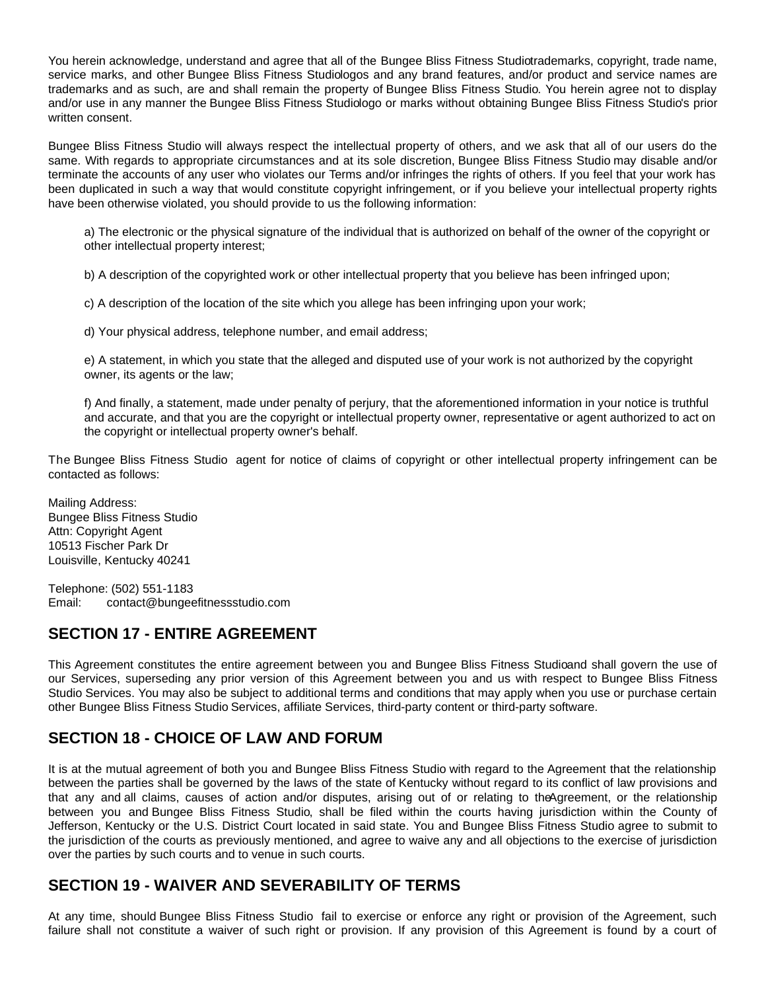You herein acknowledge, understand and agree that all of the Bungee Bliss Fitness Studiotrademarks, copyright, trade name, service marks, and other Bungee Bliss Fitness Studiologos and any brand features, and/or product and service names are trademarks and as such, are and shall remain the property of Bungee Bliss Fitness Studio. You herein agree not to display and/or use in any manner the Bungee Bliss Fitness Studiologo or marks without obtaining Bungee Bliss Fitness Studio's prior written consent.

Bungee Bliss Fitness Studio will always respect the intellectual property of others, and we ask that all of our users do the same. With regards to appropriate circumstances and at its sole discretion, Bungee Bliss Fitness Studio may disable and/or terminate the accounts of any user who violates our Terms and/or infringes the rights of others. If you feel that your work has been duplicated in such a way that would constitute copyright infringement, or if you believe your intellectual property rights have been otherwise violated, you should provide to us the following information:

a) The electronic or the physical signature of the individual that is authorized on behalf of the owner of the copyright or other intellectual property interest;

b) A description of the copyrighted work or other intellectual property that you believe has been infringed upon;

c) A description of the location of the site which you allege has been infringing upon your work;

d) Your physical address, telephone number, and email address;

e) A statement, in which you state that the alleged and disputed use of your work is not authorized by the copyright owner, its agents or the law;

f) And finally, a statement, made under penalty of perjury, that the aforementioned information in your notice is truthful and accurate, and that you are the copyright or intellectual property owner, representative or agent authorized to act on the copyright or intellectual property owner's behalf.

The Bungee Bliss Fitness Studio agent for notice of claims of copyright or other intellectual property infringement can be contacted as follows:

Mailing Address: Bungee Bliss Fitness Studio Attn: Copyright Agent 10513 Fischer Park Dr Louisville, Kentucky 40241

Telephone: (502) 551-1183 Email: contact@bungeefitnessstudio.com

# **SECTION 17 - ENTIRE AGREEMENT**

This Agreement constitutes the entire agreement between you and Bungee Bliss Fitness Studioand shall govern the use of our Services, superseding any prior version of this Agreement between you and us with respect to Bungee Bliss Fitness Studio Services. You may also be subject to additional terms and conditions that may apply when you use or purchase certain other Bungee Bliss Fitness Studio Services, affiliate Services, third-party content or third-party software.

# **SECTION 18 - CHOICE OF LAW AND FORUM**

It is at the mutual agreement of both you and Bungee Bliss Fitness Studio with regard to the Agreement that the relationship between the parties shall be governed by the laws of the state of Kentucky without regard to its conflict of law provisions and that any and all claims, causes of action and/or disputes, arising out of or relating to theAgreement, or the relationship between you and Bungee Bliss Fitness Studio, shall be filed within the courts having jurisdiction within the County of Jefferson, Kentucky or the U.S. District Court located in said state. You and Bungee Bliss Fitness Studio agree to submit to the jurisdiction of the courts as previously mentioned, and agree to waive any and all objections to the exercise of jurisdiction over the parties by such courts and to venue in such courts.

# **SECTION 19 - WAIVER AND SEVERABILITY OF TERMS**

At any time, should Bungee Bliss Fitness Studio fail to exercise or enforce any right or provision of the Agreement, such failure shall not constitute a waiver of such right or provision. If any provision of this Agreement is found by a court of